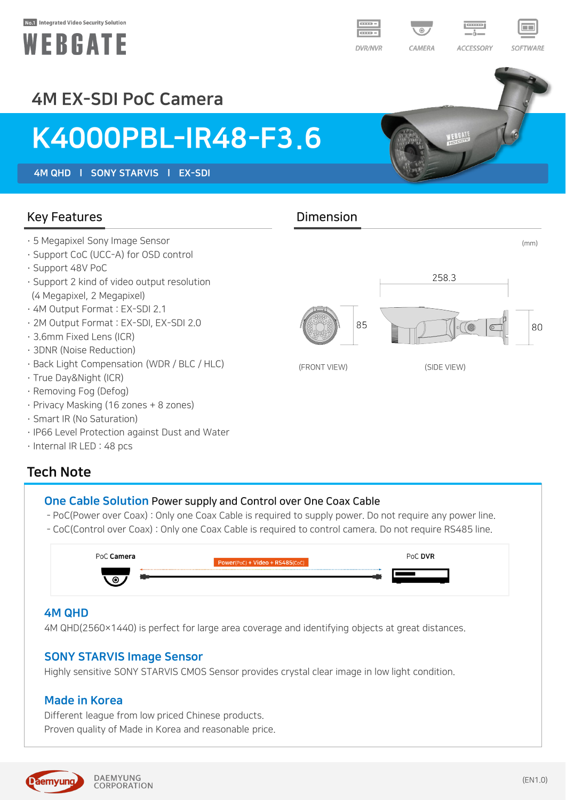#### No.1 Integrated Video Security Solution





WEBEATE



## 4M EX-SDI PoC Camera

# K4000PBL-IR48-F3.6

4M QHD l SONY STARVIS l EX-SDI

#### Key Features **Dimension**

- · 5 Megapixel Sony Image Sensor (mm)
- · Support CoC (UCC-A) for OSD control
- · Support 48V PoC
- · Support 2 kind of video output resolution (4 Megapixel, 2 Megapixel)
- · 4M Output Format : EX-SDI 2.1
- · 2M Output Format : EX-SDI, EX-SDI 2.0
- · 3.6mm Fixed Lens (ICR)
- · 3DNR (Noise Reduction)
- · Back Light Compensation (WDR / BLC / HLC)
- · True Day&Night (ICR)
- · Removing Fog (Defog)
- · Privacy Masking (16 zones + 8 zones)
- · Smart IR (No Saturation)
- · IP66 Level Protection against Dust and Water
- · Internal IR LED : 48 pcs

### Tech Note

#### One Cable Solution Power supply and Control over One Coax Cable

- PoC(Power over Coax) : Only one Coax Cable is required to supply power. Do not require any power line.
- CoC(Control over Coax) : Only one Coax Cable is required to control camera. Do not require RS485 line.

| PoC <b>Camera</b> | Power(PoC) + Video + RS485(CoC) | PoC DVR |
|-------------------|---------------------------------|---------|
| െ                 |                                 |         |

#### 4M QHD

4M QHD(2560×1440) is perfect for large area coverage and identifying objects at great distances.

#### SONY STARVIS Image Sensor

Highly sensitive SONY STARVIS CMOS Sensor provides crystal clear image in low light condition.

#### Made in Korea

Different league from low priced Chinese products. Proven quality of Made in Korea and reasonable price.